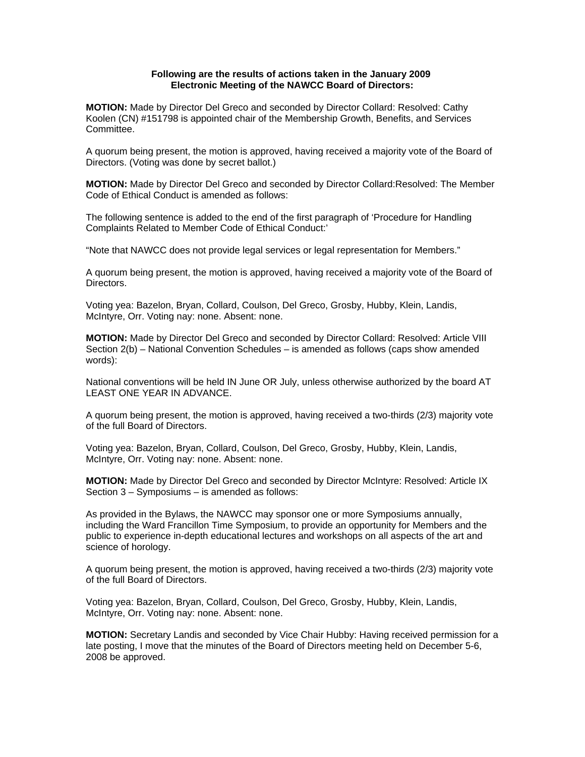## **Following are the results of actions taken in the January 2009 Electronic Meeting of the NAWCC Board of Directors:**

**MOTION:** Made by Director Del Greco and seconded by Director Collard: Resolved: Cathy Koolen (CN) #151798 is appointed chair of the Membership Growth, Benefits, and Services Committee.

A quorum being present, the motion is approved, having received a majority vote of the Board of Directors. (Voting was done by secret ballot.)

**MOTION:** Made by Director Del Greco and seconded by Director Collard:Resolved: The Member Code of Ethical Conduct is amended as follows:

The following sentence is added to the end of the first paragraph of 'Procedure for Handling Complaints Related to Member Code of Ethical Conduct:'

"Note that NAWCC does not provide legal services or legal representation for Members."

A quorum being present, the motion is approved, having received a majority vote of the Board of Directors.

Voting yea: Bazelon, Bryan, Collard, Coulson, Del Greco, Grosby, Hubby, Klein, Landis, McIntyre, Orr. Voting nay: none. Absent: none.

**MOTION:** Made by Director Del Greco and seconded by Director Collard: Resolved: Article VIII Section 2(b) – National Convention Schedules – is amended as follows (caps show amended words):

National conventions will be held IN June OR July, unless otherwise authorized by the board AT LEAST ONE YEAR IN ADVANCE.

A quorum being present, the motion is approved, having received a two-thirds (2/3) majority vote of the full Board of Directors.

Voting yea: Bazelon, Bryan, Collard, Coulson, Del Greco, Grosby, Hubby, Klein, Landis, McIntyre, Orr. Voting nay: none. Absent: none.

**MOTION:** Made by Director Del Greco and seconded by Director McIntyre: Resolved: Article IX Section 3 – Symposiums – is amended as follows:

As provided in the Bylaws, the NAWCC may sponsor one or more Symposiums annually, including the Ward Francillon Time Symposium, to provide an opportunity for Members and the public to experience in-depth educational lectures and workshops on all aspects of the art and science of horology.

A quorum being present, the motion is approved, having received a two-thirds (2/3) majority vote of the full Board of Directors.

Voting yea: Bazelon, Bryan, Collard, Coulson, Del Greco, Grosby, Hubby, Klein, Landis, McIntyre, Orr. Voting nay: none. Absent: none.

**MOTION:** Secretary Landis and seconded by Vice Chair Hubby: Having received permission for a late posting, I move that the minutes of the Board of Directors meeting held on December 5-6, 2008 be approved.